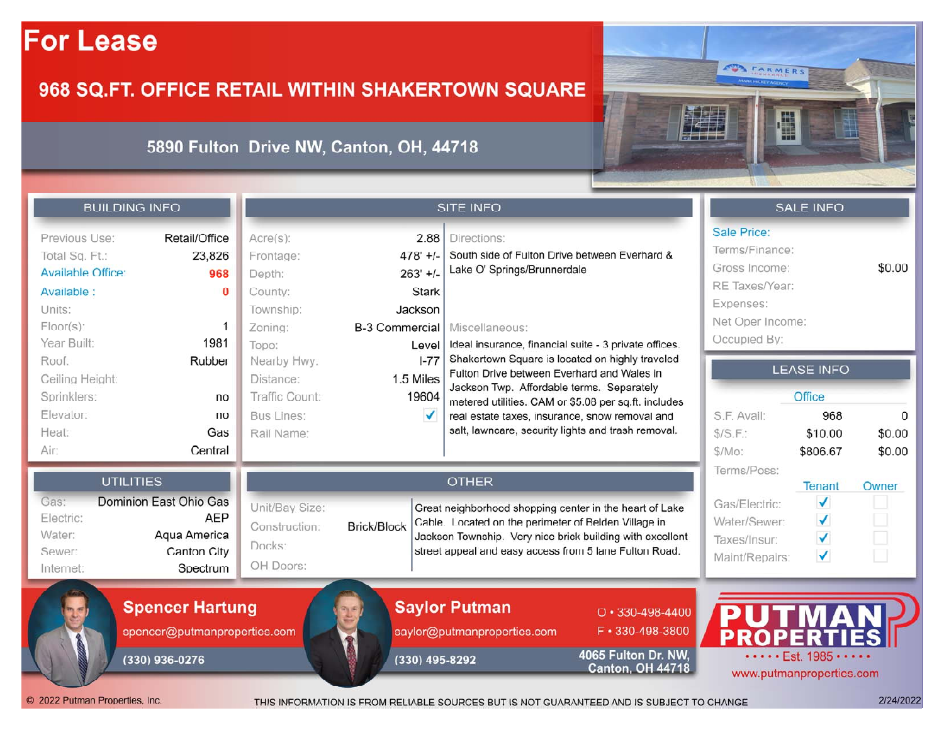## **For Lease**

## **968 SQ.FT. OFFICE RETAIL WITHIN SHAKERTOWN SQUARE**

## **5890 Fulton Drive NW, Canton, OH, 44718**



| <b>BUILDING INFO</b>                                                                                                                                                                                                                          |                                                                                                     | <b>SITE INFO</b>                                                               |                                                       |                                      |                                                                                                                                                                                                                                                         | <b>SALE INFO</b> |                                                                                                                          |                                                                  |                              |
|-----------------------------------------------------------------------------------------------------------------------------------------------------------------------------------------------------------------------------------------------|-----------------------------------------------------------------------------------------------------|--------------------------------------------------------------------------------|-------------------------------------------------------|--------------------------------------|---------------------------------------------------------------------------------------------------------------------------------------------------------------------------------------------------------------------------------------------------------|------------------|--------------------------------------------------------------------------------------------------------------------------|------------------------------------------------------------------|------------------------------|
| Previous Use:<br>Total Sq. Ft.:<br><b>Available Office:</b><br>Available :<br>Units:<br>$Floor(s)$ :<br>Year Built:                                                                                                                           | Retail/Office<br>23,826<br>968<br>0<br>1<br>1981                                                    | $Acre(s)$ :<br>Frontage:<br>Depth:<br>County:<br>Township:<br>Zoning:<br>Topo: | $478' +/-$<br>$263' +/-$<br>Jackson<br>B-3 Commercial | 2.88<br>Stark<br>Level I<br>$1 - 77$ | Directions:<br>South side of Fulton Drive between Everhard &<br>Lake O' Springs/Brunnerdale<br>Miscellaneous:<br>Ideal insurance, financial suite - 3 private offices.<br>Shakertown Square is located on highly traveled                               |                  | <b>Sale Price:</b><br>Terms/Finance:<br>Gross Income:<br>RE Taxes/Year:<br>Expenses:<br>Net Oper Income:<br>Occupied By: |                                                                  | \$0.00                       |
| Roof:<br>Ceiling Height:<br>Sprinklers:<br>Elevator:<br>Heat:<br>Air:                                                                                                                                                                         | Rubber<br>no<br>no<br>Gas<br>Central                                                                | Nearby Hwy:<br>Distance:<br>Traffic Count:<br><b>Bus Lines:</b><br>Rail Name:  | 1.5 Miles                                             | 19604                                | Fulton Drive between Everhard and Wales in<br>Jackson Twp. Affordable terms. Separately<br>metered utilities. CAM or \$5.08 per sq.ft. includes<br>real estate taxes, insurance, snow removal and<br>salt, lawncare, security lights and trash removal. |                  | S.F. Avail:<br>S/S.F.<br>\$/Mo:                                                                                          | <b>LEASE INFO</b><br><b>Office</b><br>968<br>\$10.00<br>\$806.67 | $\Omega$<br>\$0.00<br>\$0.00 |
| Gas:<br>Electric:<br>Water:<br>Sewer:<br>Internet:                                                                                                                                                                                            | <b>UTILITIES</b><br>Dominion East Ohio Gas<br><b>AEP</b><br>Aqua America<br>Canton City<br>Spectrum | Unit/Bay Size:<br>Construction:<br>Docks:<br>OH Doors:                         | <b>Brick/Block</b>                                    |                                      | <b>OTHER</b><br>Great neighborhood shopping center in the heart of Lake<br>Cable. Located on the perimeter of Belden Village in<br>Jackson Township. Very nice brick building with excellent<br>street appeal and easy access from 5 lane Fulton Road.  |                  | Terms/Poss:<br>Gas/Electric:<br>Water/Sewer:<br>Taxes/Insur<br>Maint/Repairs:                                            | <b>Tenant</b><br>✔<br>✔<br>$\checkmark$<br>✔                     | Owner                        |
| <b>Spencer Hartung</b><br><b>Saylor Putman</b><br>$O$ • 330-498-4400<br>F · 330-498-3800<br>spencer@putmanproperties.com<br>saylor@putmanproperties.com<br>4065 Fulton Dr. NW,<br>(330) 936-0276<br>(330) 495-8292<br><b>Canton, OH 44718</b> |                                                                                                     |                                                                                |                                                       |                                      |                                                                                                                                                                                                                                                         |                  | www.putmanproperties.com                                                                                                 | Est. 1985                                                        |                              |

© 2022 Putman Properties, Inc. THIS INFORMATION IS FROM RELIABLE SOURCES BUT IS NOT GUARANTEED AND IS SUBJECT TO CHANGE